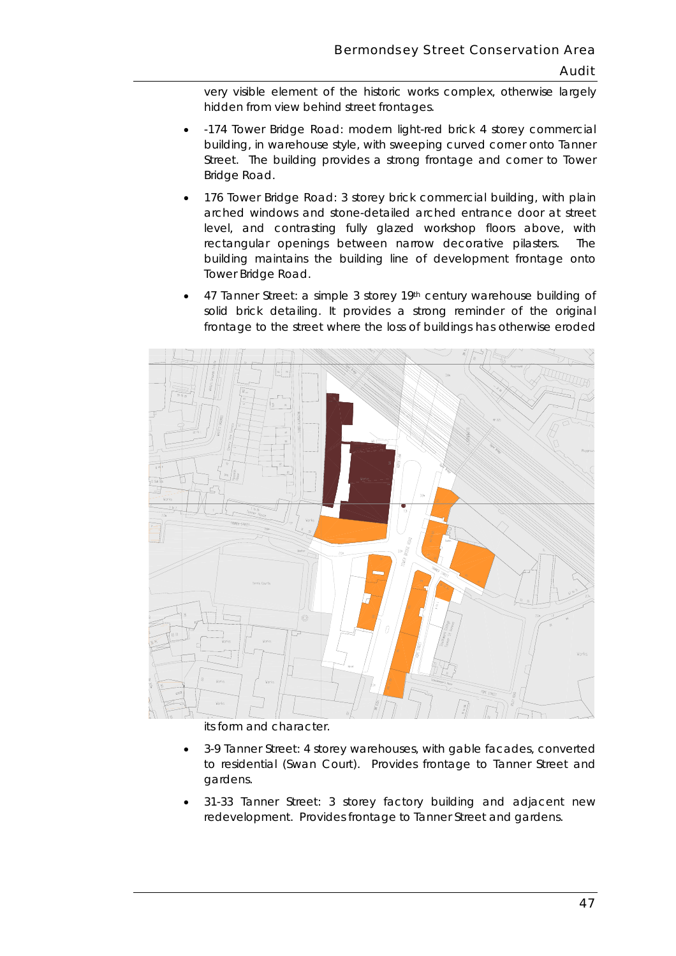hidden from view behind street frontages. very visible element of the historic works complex, otherwise largely

- *-174 Tower Bridge Road*: modern light-red brick 4 storey commercial building, in warehouse style, with sweeping curved corner onto Tanner Street. The building provides a strong frontage and corner to Tower Bridge Road.
- *176 Tower Bridge Road*: 3 storey brick commercial building, with plain arched windows and stone-detailed arched entrance door at street level, and contrasting fully glazed workshop floors above, with rectangular openings between narrow decorative pilasters. The building maintains the building line of development frontage onto Tower Bridge Road.
- frontage to the street where the loss of buildings has otherwise eroded • *47 Tanner Street*: a simple 3 storey 19th century warehouse building of solid brick detailing. It provides a strong reminder of the original



its form and character.

- *3-9 Tanner Street*: 4 storey warehouses, with gable facades, converted to residential (Swan Court). Provides frontage to Tanner Street and gardens.
- *31-33 Tanner Street*: 3 storey factory building and adjacent new redevelopment. Provides frontage to Tanner Street and gardens.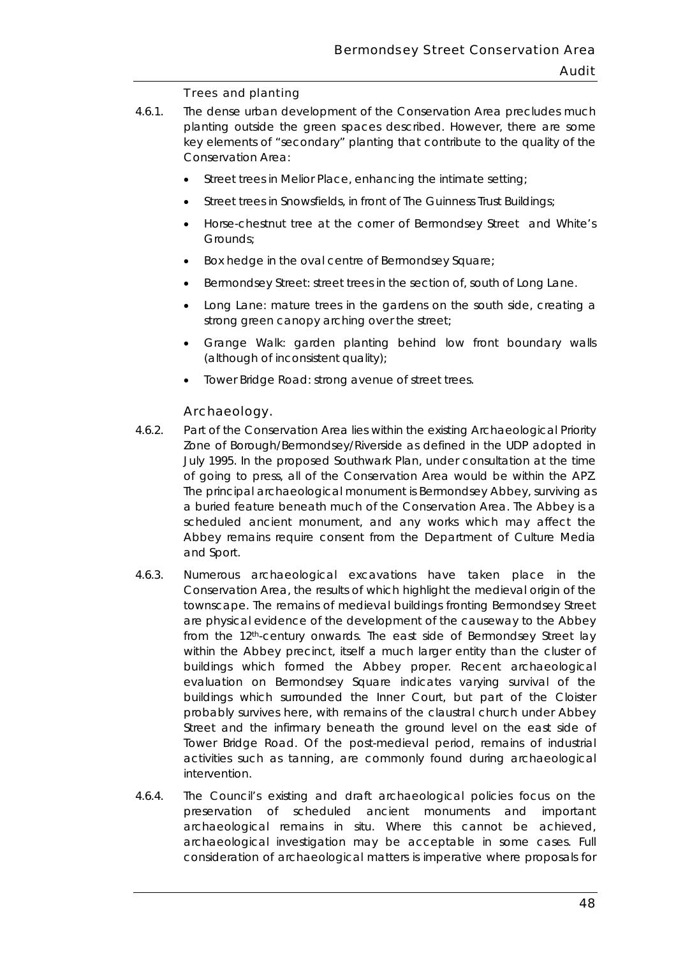## Trees and planting

- planting outside the green spaces described. However, there are some key elements of "secondary" planting that contribute to the quality of the 4.6.1. The dense urban development of the Conservation Area precludes much Conservation Area:
	- Street trees in Melior Place, enhancing the intimate setting;
	- Street trees in Snowsfields, in front of The Guinness Trust Buildings;
	- • Horse-chestnut tree at the corner of Bermondsey Street and White's Grounds;
	- Box hedge in the oval centre of Bermondsey Square;
	- Bermondsey Street: street trees in the section of, south of Long Lane.
	- • Long Lane: mature trees in the gardens on the south side, creating a strong green canopy arching over the street;
	- Grange Walk: garden planting behind low front boundary walls (although of inconsistent quality);
	- Tower Bridge Road: strong avenue of street trees.

# Archaeology.

- $4.6.2.$  July 1995. In the proposed Southwark Plan, under consultation at the time Part of the Conservation Area lies within the existing Archaeological Priority Zone of Borough/Bermondsey/Riverside as defined in the UDP adopted in of going to press, all of the Conservation Area would be within the APZ. The principal archaeological monument is Bermondsey Abbey, surviving as a buried feature beneath much of the Conservation Area. The Abbey is a scheduled ancient monument, and any works which may affect the Abbey remains require consent from the Department of Culture Media and Sport.
- within the Abbey precinct, itself a much larger entity than the cluster of buildings which surrounded the Inner Court, but part of the Cloister 4.6.3. Numerous archaeological excavations have taken place in the Conservation Area, the results of which highlight the medieval origin of the townscape. The remains of medieval buildings fronting Bermondsey Street are physical evidence of the development of the causeway to the Abbey from the 12th-century onwards. The east side of Bermondsey Street lay buildings which formed the Abbey proper. Recent archaeological evaluation on Bermondsey Square indicates varying survival of the probably survives here, with remains of the claustral church under Abbey Street and the infirmary beneath the ground level on the east side of Tower Bridge Road. Of the post-medieval period, remains of industrial activities such as tanning, are commonly found during archaeological intervention.
- $4.6.4.$ The Council's existing and draft archaeological policies focus on the preservation of scheduled ancient monuments and important archaeological remains in situ. Where this cannot be achieved, archaeological investigation may be acceptable in some cases. Full consideration of archaeological matters is imperative where proposals for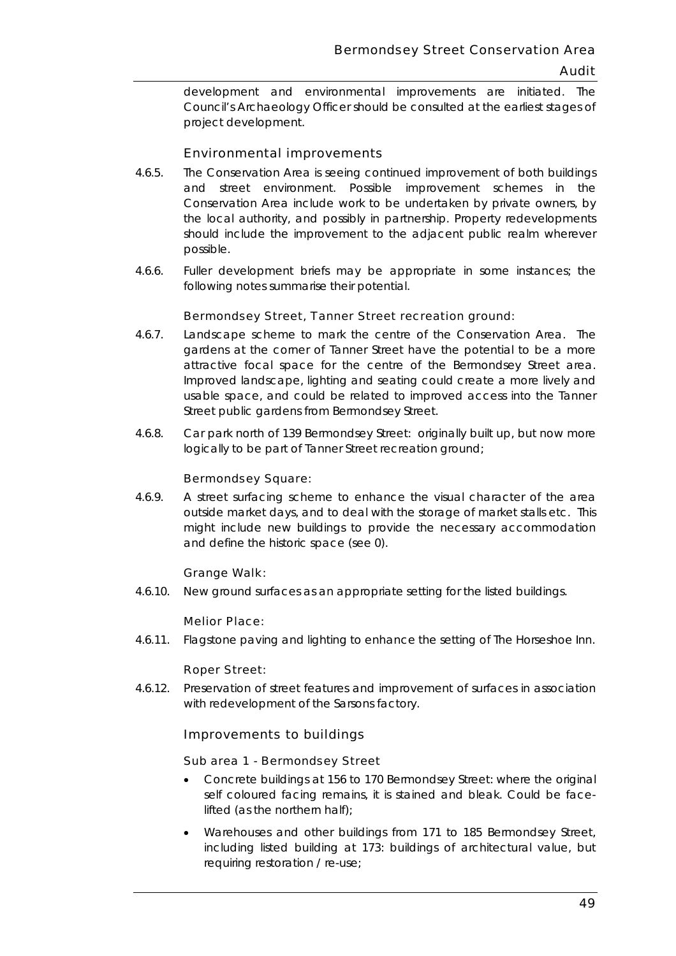Council's Archaeology Officer should be consulted at the earliest stages of development and environmental improvements are initiated. The project development.

# Environmental improvements

- possible. 4.6.5. The Conservation Area is seeing continued improvement of both buildings and street environment. Possible improvement schemes in the Conservation Area include work to be undertaken by private owners, by the local authority, and possibly in partnership. Property redevelopments should include the improvement to the adjacent public realm wherever
- possible. 4.6.6. Fuller development briefs may be appropriate in some instances; the following notes summarise their potential.

#### Bermondsey Street, Tanner Street recreation ground:

- 4.6.7. Landscape scheme to mark the centre of the Conservation Area. The Street public gardens from Bermondsey Street. gardens at the corner of Tanner Street have the potential to be a more attractive focal space for the centre of the Bermondsey Street area. Improved landscape, lighting and seating could create a more lively and usable space, and could be related to improved access into the Tanner
- Street public gardens from Bermondsey Street. 4.6.8. Car park north of 139 Bermondsey Street: originally built up, but now more logically to be part of Tanner Street recreation ground;

#### Bermondsey Square:

 4.6.9. A street surfacing scheme to enhance the visual character of the area outside market days, and to deal with the storage of market stalls etc. This might include new buildings to provide the necessary accommodation and define the historic space (see 0).

#### Grange Walk:

4.6.10. New ground surfaces as an appropriate setting for the listed buildings.

#### Melior Place:

4.6.11. Flagstone paving and lighting to enhance the setting of The Horseshoe Inn.

#### Roper Street:

4.6.12. Preservation of street features and improvement of surfaces in association with redevelopment of the Sarsons factory.

#### Improvements to buildings

#### Sub area 1 - Bermondsey Street

- Concrete buildings at 156 to 170 Bermondsey Street: where the original self coloured facing remains, it is stained and bleak. Could be facelifted (as the northern half);
- Warehouses and other buildings from 171 to 185 Bermondsey Street, including listed building at 173: buildings of architectural value, but requiring restoration / re-use;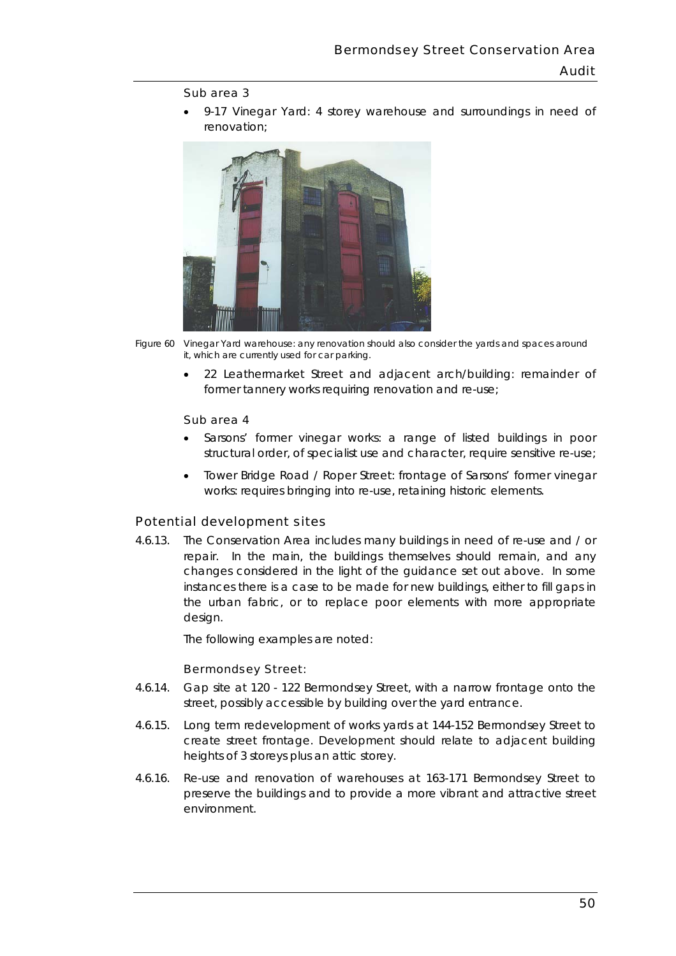#### Sub area 3

• 9-17 Vinegar Yard: 4 storey warehouse and surroundings in need of renovation;



*Figure 60 Vinegar Yard warehouse: any renovation should also consider the yards and spaces around it, which are currently used for car parking.* 

• 22 Leathermarket Street and adjacent arch/building: remainder of former tannery works requiring renovation and re-use;

#### Sub area 4

- Sarsons' former vinegar works: a range of listed buildings in poor structural order, of specialist use and character, require sensitive re-use;
- Tower Bridge Road / Roper Street: frontage of Sarsons' former vinegar works: requires bringing into re-use, retaining historic elements.

#### Potential development sites

4.6.13. The Conservation Area includes many buildings in need of re-use and / or repair. In the main, the buildings themselves should remain, and any changes considered in the light of the guidance set out above. In some instances there is a case to be made for new buildings, either to fill gaps in the urban fabric, or to replace poor elements with more appropriate design.

The following examples are noted:

#### Bermondsey Street:

- 4.6.14. Gap site at 120 122 Bermondsey Street, with a narrow frontage onto the street, possibly accessible by building over the yard entrance.
- 4.6.15. Long term redevelopment of works yards at 144-152 Bermondsey Street to heights of 3 storeys plus an attic storey. create street frontage. Development should relate to adjacent building
- heights of 3 storeys plus an attic storey. 4.6.16. Re-use and renovation of warehouses at 163-171 Bermondsey Street to environment. preserve the buildings and to provide a more vibrant and attractive street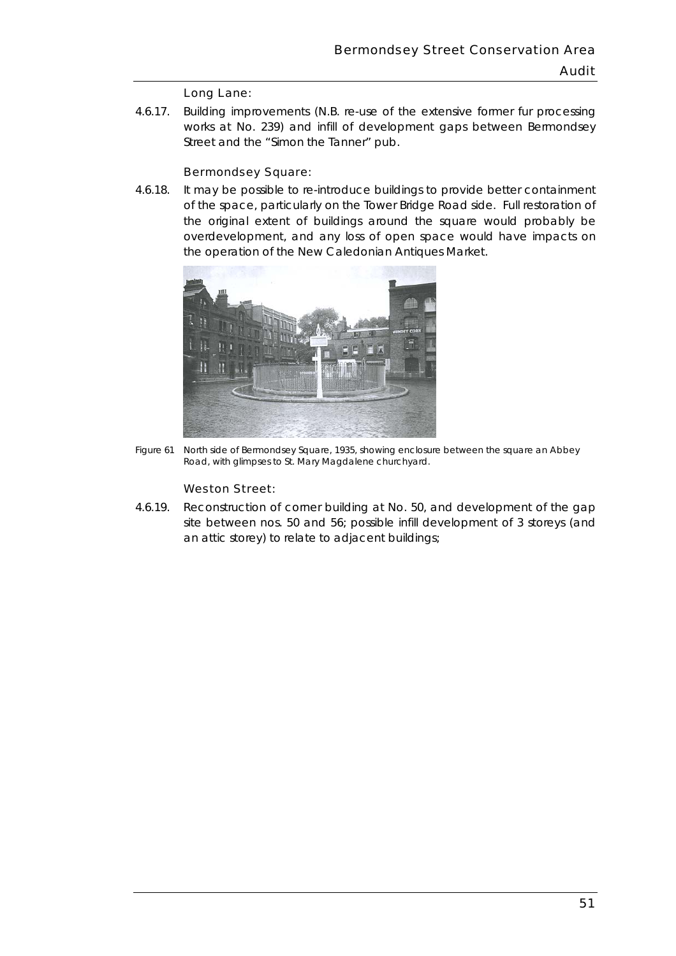#### Long Lane:

4.6.17. Building improvements (N.B. re-use of the extensive former fur processing works at No. 239) and infill of development gaps between Bermondsey Street and the "Simon the Tanner" pub.

#### Bermondsey Square:

 $4.6.18.$  the operation of the New Caledonian Antiques Market. It may be possible to re-introduce buildings to provide better containment of the space, particularly on the Tower Bridge Road side. Full restoration of the original extent of buildings around the square would probably be overdevelopment, and any loss of open space would have impacts on



*Figure 61 North side of Bermondsey Square, 1935, showing enclosure between the square an Abbey Road, with glimpses to St. Mary Magdalene churchyard.* 

#### Weston Street:

4.6.19. Reconstruction of corner building at No. 50, and development of the gap site between nos. 50 and 56; possible infill development of 3 storeys (and an attic storey) to relate to adjacent buildings;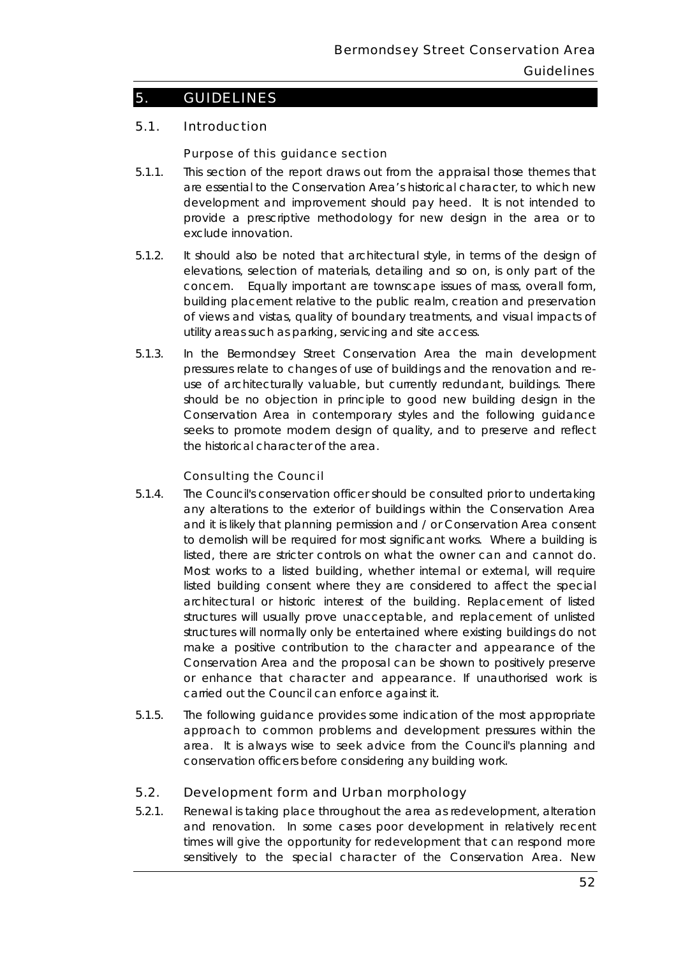# 5. GUIDELINES

# 5.1. Introduction

#### Purpose of this guidance section

- 5.1.1. This section of the report draws out from the appraisal those themes that are essential to the Conservation Area's historical character, to which new development and improvement should pay heed. It is not intended to exclude innovation provide a prescriptive methodology for new design in the area or to
- concern. Equally important are townscape issues of mass, overall form, building placement relative to the public realm, creation and preservation of views and vistas, quality of boundary treatments, and visual impacts of 5.1.2. It should also be noted that architectural style, in terms of the design of elevations, selection of materials, detailing and so on, is only part of the utility areas such as parking, servicing and site access.
- 5.1.3. In the Bermondsey Street Conservation Area the main development the historical character of the area. pressures relate to changes of use of buildings and the renovation and reuse of architecturally valuable, but currently redundant, buildings. There should be no objection in principle to good new building design in the Conservation Area in contemporary styles and the following guidance seeks to promote modern design of quality, and to preserve and reflect

## Consulting the Council

- listed, there are stricter controls on what the owner can and cannot do. listed building consent where they are considered to affect the special 5.1.4. The Council's conservation officer should be consulted prior to undertaking any alterations to the exterior of buildings within the Conservation Area and it is likely that planning permission and / or Conservation Area consent to demolish will be required for most significant works. Where a building is Most works to a listed building, whether internal or external, will require architectural or historic interest of the building. Replacement of listed structures will usually prove unacceptable, and replacement of unlisted structures will normally only be entertained where existing buildings do not make a positive contribution to the character and appearance of the Conservation Area and the proposal can be shown to positively preserve or enhance that character and appearance. If unauthorised work is carried out the Council can enforce against it.
- 5.1.5. The following guidance provides some indication of the most appropriate approach to common problems and development pressures within the area. It is always wise to seek advice from the Council's planning and conservation officers before considering any building work.

## 5.2. Development form and Urban morphology

 and renovation. In some cases poor development in relatively recent 5.2.1. Renewal is taking place throughout the area as redevelopment, alteration times will give the opportunity for redevelopment that can respond more sensitively to the special character of the Conservation Area. New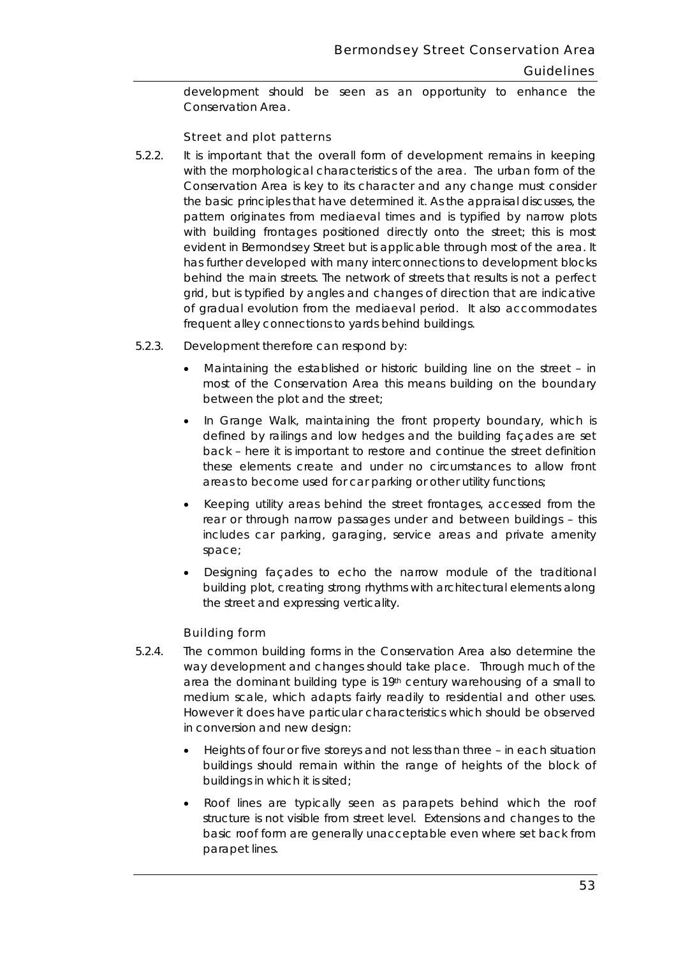development should be seen as an opportunity to enhance the Conservation Area.

## Street and plot patterns

- $5.2.2.$  evident in Bermondsey Street but is applicable through most of the area. It behind the main streets. The network of streets that results is not a perfect It is important that the overall form of development remains in keeping with the morphological characteristics of the area. The urban form of the Conservation Area is key to its character and any change must consider the basic principles that have determined it. As the appraisal discusses, the pattern originates from mediaeval times and is typified by narrow plots with building frontages positioned directly onto the street; this is most has further developed with many interconnections to development blocks grid, but is typified by angles and changes of direction that are indicative of gradual evolution from the mediaeval period. It also accommodates
- frequent alley connections to yards behind buildings. 5.2.3. Development therefore can respond by: Development therefore can respond by:
	- between the plot and the street; • Maintaining the established or historic building line on the street – in most of the Conservation Area this means building on the boundary
	- In Grange Walk, maintaining the front property boundary, which is defined by railings and low hedges and the building façades are set back – here it is important to restore and continue the street definition these elements create and under no circumstances to allow front areas to become used for car parking or other utility functions;
	- Keeping utility areas behind the street frontages, accessed from the rear or through narrow passages under and between buildings – this includes car parking, garaging, service areas and private amenity space;
	- Designing façades to echo the narrow module of the traditional building plot, creating strong rhythms with architectural elements along the street and expressing verticality.

#### Building form

- way development and changes should take place. Through much of the area the dominant building type is  $19<sup>th</sup>$  century warehousing of a small to 5.2.4. The common building forms in the Conservation Area also determine the medium scale, which adapts fairly readily to residential and other uses. However it does have particular characteristics which should be observed in conversion and new design:
	- Heights of four or five storeys and not less than three in each situation buildings should remain within the range of heights of the block of buildings in which it is sited;
	- parapet lines. • Roof lines are typically seen as parapets behind which the roof structure is not visible from street level. Extensions and changes to the basic roof form are generally unacceptable even where set back from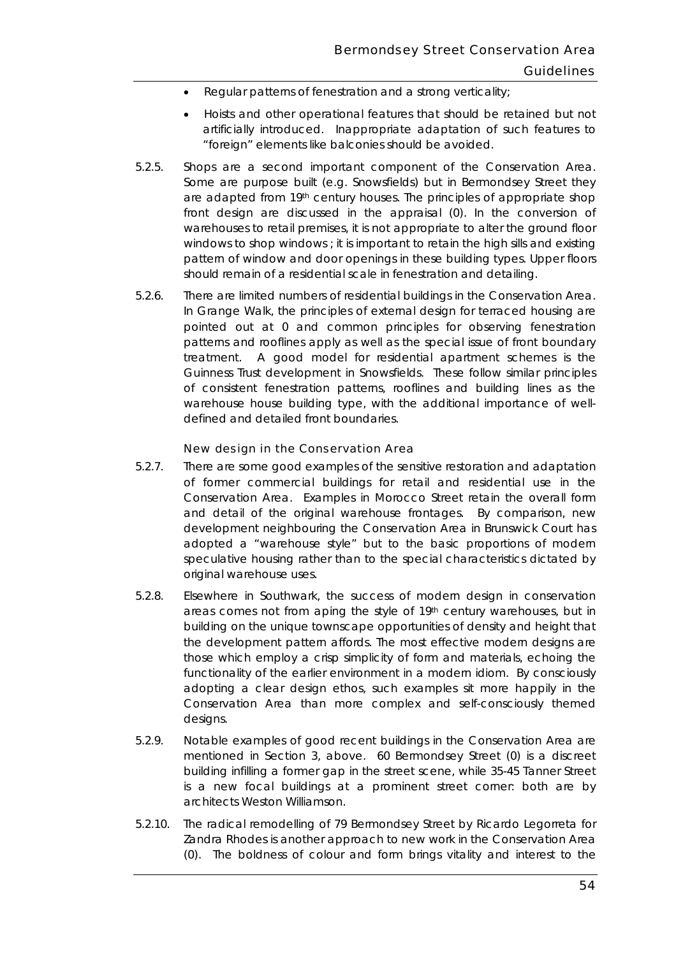- Regular patterns of fenestration and a strong verticality;
- artificially introduced. Inappropriate adaptation of such features to • Hoists and other operational features that should be retained but not "foreign" elements like balconies should be avoided.
- Some are purpose built (e.g. Snowsfields) but in Bermondsey Street they windows to shop windows ; it is important to retain the high sills and existing 5.2.5. Shops are a second important component of the Conservation Area. are adapted from 19th century houses. The principles of appropriate shop front design are discussed in the appraisal (0). In the conversion of warehouses to retail premises, it is not appropriate to alter the ground floor pattern of window and door openings in these building types. Upper floors should remain of a residential scale in fenestration and detailing.
- of consistent fenestration patterns, rooflines and building lines as the 5.2.6. There are limited numbers of residential buildings in the Conservation Area. In Grange Walk, the principles of external design for terraced housing are pointed out at 0 and common principles for observing fenestration patterns and rooflines apply as well as the special issue of front boundary treatment. A good model for residential apartment schemes is the Guinness Trust development in Snowsfields. These follow similar principles warehouse house building type, with the additional importance of welldefined and detailed front boundaries.

#### New design in the Conservation Area

- 5.2.7. There are some good examples of the sensitive restoration and adaptation of former commercial buildings for retail and residential use in the Conservation Area. Examples in Morocco Street retain the overall form and detail of the original warehouse frontages. By comparison, new development neighbouring the Conservation Area in Brunswick Court has adopted a "warehouse style" but to the basic proportions of modern speculative housing rather than to the special characteristics dictated by original warehouse uses.
- areas comes not from aping the style of 19th century warehouses, but in building on the unique townscape opportunities of density and height that Conservation Area than more complex and self-consciously themed 5.2.8. Elsewhere in Southwark, the success of modern design in conservation the development pattern affords. The most effective modern designs are those which employ a crisp simplicity of form and materials, echoing the functionality of the earlier environment in a modern idiom. By consciously adopting a clear design ethos, such examples sit more happily in the designs.
- building infilling a former gap in the street scene, while 35-45 Tanner Street architects Weston Williamson. 5.2.9. Notable examples of good recent buildings in the Conservation Area are mentioned in Section 3, above. 60 Bermondsey Street (0) is a discreet is a new focal buildings at a prominent street corner: both are by
- (0). The boldness of colour and form brings vitality and interest to the 5.2.10. The radical remodelling of 79 Bermondsey Street by Ricardo Legorreta for Zandra Rhodes is another approach to new work in the Conservation Area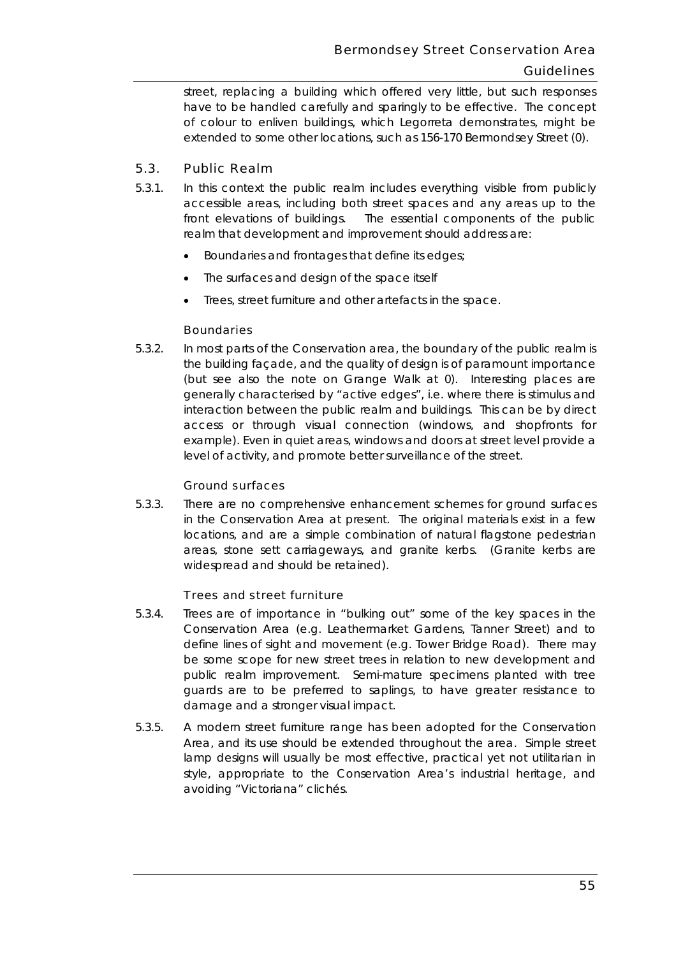have to be handled carefully and sparingly to be effective. The concept extended to some other locations, such as 156-170 Bermondsey Street (0). street, replacing a building which offered very little, but such responses of colour to enliven buildings, which Legorreta demonstrates, might be

# 5.3. Public Realm

- front elevations of buildings. 5.3.1. In this context the public realm includes everything visible from publicly accessible areas, including both street spaces and any areas up to the The essential components of the public realm that development and improvement should address are:
	- Boundaries and frontages that define its edges;
	- The surfaces and design of the space itself
	- Trees, street furniture and other artefacts in the space.

# **Boundaries**

 $5.3.2.$  (but see also the note on Grange Walk at 0). Interesting places are level of activity, and promote better surveillance of the street. In most parts of the Conservation area, the boundary of the public realm is the building façade, and the quality of design is of paramount importance generally characterised by "active edges", i.e. where there is stimulus and interaction between the public realm and buildings. This can be by direct access or through visual connection (windows, and shopfronts for example). Even in quiet areas, windows and doors at street level provide a

## Ground surfaces

 areas, stone sett carriageways, and granite kerbs. (Granite kerbs are 5.3.3. There are no comprehensive enhancement schemes for ground surfaces in the Conservation Area at present. The original materials exist in a few locations, and are a simple combination of natural flagstone pedestrian widespread and should be retained).

## Trees and street furniture

- 5.3.4. Trees are of importance in "bulking out" some of the key spaces in the Conservation Area (e.g. Leathermarket Gardens, Tanner Street) and to define lines of sight and movement (e.g. Tower Bridge Road). There may be some scope for new street trees in relation to new development and public realm improvement. Semi-mature specimens planted with tree guards are to be preferred to saplings, to have greater resistance to damage and a stronger visual impact.
- Area, and its use should be extended throughout the area. Simple street avoiding "Victoriana" clichés. 5.3.5. A modern street furniture range has been adopted for the Conservation lamp designs will usually be most effective, practical yet not utilitarian in style, appropriate to the Conservation Area's industrial heritage, and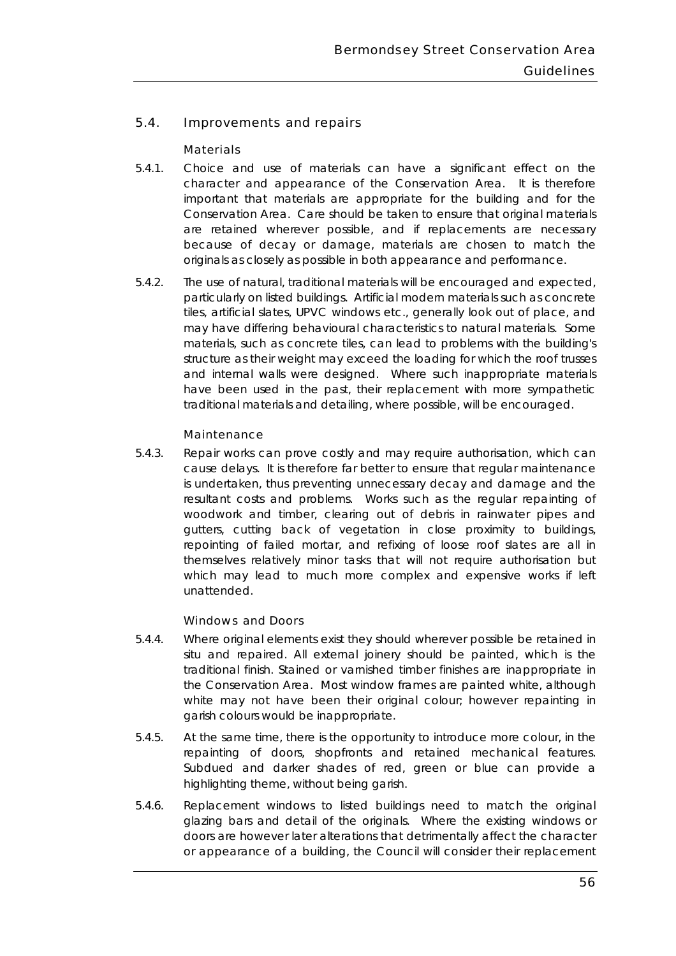# 5.4. Improvements and repairs

## **Materials**

- $5.4.1.$  Conservation Area. Care should be taken to ensure that original materials originals as closely as possible in both appearance and performance. Choice and use of materials can have a significant effect on the character and appearance of the Conservation Area. It is therefore important that materials are appropriate for the building and for the are retained wherever possible, and if replacements are necessary because of decay or damage, materials are chosen to match the
- and internal walls were designed. Where such inappropriate materials 5.4.2. The use of natural, traditional materials will be encouraged and expected, particularly on listed buildings. Artificial modern materials such as concrete tiles, artificial slates, UPVC windows etc., generally look out of place, and may have differing behavioural characteristics to natural materials. Some materials, such as concrete tiles, can lead to problems with the building's structure as their weight may exceed the loading for which the roof trusses have been used in the past, their replacement with more sympathetic traditional materials and detailing, where possible, will be encouraged.

#### Maintenance

 cause delays. It is therefore far better to ensure that regular maintenance resultant costs and problems. Works such as the regular repainting of 5.4.3. Repair works can prove costly and may require authorisation, which can is undertaken, thus preventing unnecessary decay and damage and the woodwork and timber, clearing out of debris in rainwater pipes and gutters, cutting back of vegetation in close proximity to buildings, repointing of failed mortar, and refixing of loose roof slates are all in themselves relatively minor tasks that will not require authorisation but which may lead to much more complex and expensive works if left unattended.

#### Windows and Doors

- 5.4.4. Where original elements exist they should wherever possible be retained in situ and repaired. All external joinery should be painted, which is the traditional finish. Stained or varnished timber finishes are inappropriate in the Conservation Area. Most window frames are painted white, although white may not have been their original colour; however repainting in garish colours would be inappropriate.
- $5.4.5.$ highlighting theme, without being garish. At the same time, there is the opportunity to introduce more colour, in the repainting of doors, shopfronts and retained mechanical features. Subdued and darker shades of red, green or blue can provide a
- glazing bars and detail of the originals. Where the existing windows or 5.4.6. Replacement windows to listed buildings need to match the original doors are however later alterations that detrimentally affect the character or appearance of a building, the Council will consider their replacement